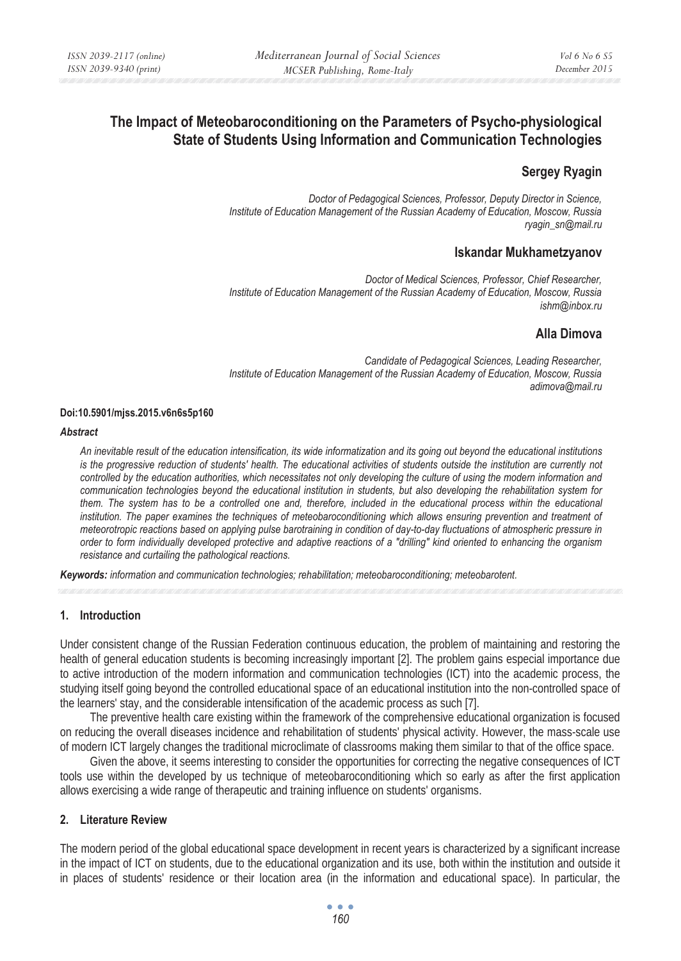# **The Impact of Meteobaroconditioning on the Parameters of Psycho-physiological State of Students Using Information and Communication Technologies**

## **Sergey Ryagin**

*Doctor of Pedagogical Sciences, Professor, Deputy Director in Science, Institute of Education Management of the Russian Academy of Education, Moscow, Russia ryagin\_sn@mail.ru* 

## **Iskandar Mukhametzyanov**

*Doctor of Medical Sciences, Professor, Chief Researcher, Institute of Education Management of the Russian Academy of Education, Moscow, Russia ishm@inbox.ru* 

## **Alla Dimova**

*Candidate of Pedagogical Sciences, Leading Researcher, Institute of Education Management of the Russian Academy of Education, Moscow, Russia adimova@mail.ru* 

#### **Doi:10.5901/mjss.2015.v6n6s5p160**

#### *Abstract*

*An inevitable result of the education intensification, its wide informatization and its going out beyond the educational institutions*  is the progressive reduction of students' health. The educational activities of students outside the institution are currently not *controlled by the education authorities, which necessitates not only developing the culture of using the modern information and communication technologies beyond the educational institution in students, but also developing the rehabilitation system for them. The system has to be a controlled one and, therefore, included in the educational process within the educational* institution. The paper examines the techniques of meteobaroconditioning which allows ensuring prevention and treatment of *meteorotropic reactions based on applying pulse barotraining in condition of day-to-day fluctuations of atmospheric pressure in order to form individually developed protective and adaptive reactions of a "drilling" kind oriented to enhancing the organism resistance and curtailing the pathological reactions.* 

*Keywords: information and communication technologies; rehabilitation; meteobaroconditioning; meteobarotent.* 

#### **1. Introduction**

Under consistent change of the Russian Federation continuous education, the problem of maintaining and restoring the health of general education students is becoming increasingly important [2]. The problem gains especial importance due to active introduction of the modern information and communication technologies (ICT) into the academic process, the studying itself going beyond the controlled educational space of an educational institution into the non-controlled space of the learners' stay, and the considerable intensification of the academic process as such [7].

The preventive health care existing within the framework of the comprehensive educational organization is focused on reducing the overall diseases incidence and rehabilitation of students' physical activity. However, the mass-scale use of modern ICT largely changes the traditional microclimate of classrooms making them similar to that of the office space.

Given the above, it seems interesting to consider the opportunities for correcting the negative consequences of ICT tools use within the developed by us technique of meteobaroconditioning which so early as after the first application allows exercising a wide range of therapeutic and training influence on students' organisms.

#### **2. Literature Review**

The modern period of the global educational space development in recent years is characterized by a significant increase in the impact of ICT on students, due to the educational organization and its use, both within the institution and outside it in places of students' residence or their location area (in the information and educational space). In particular, the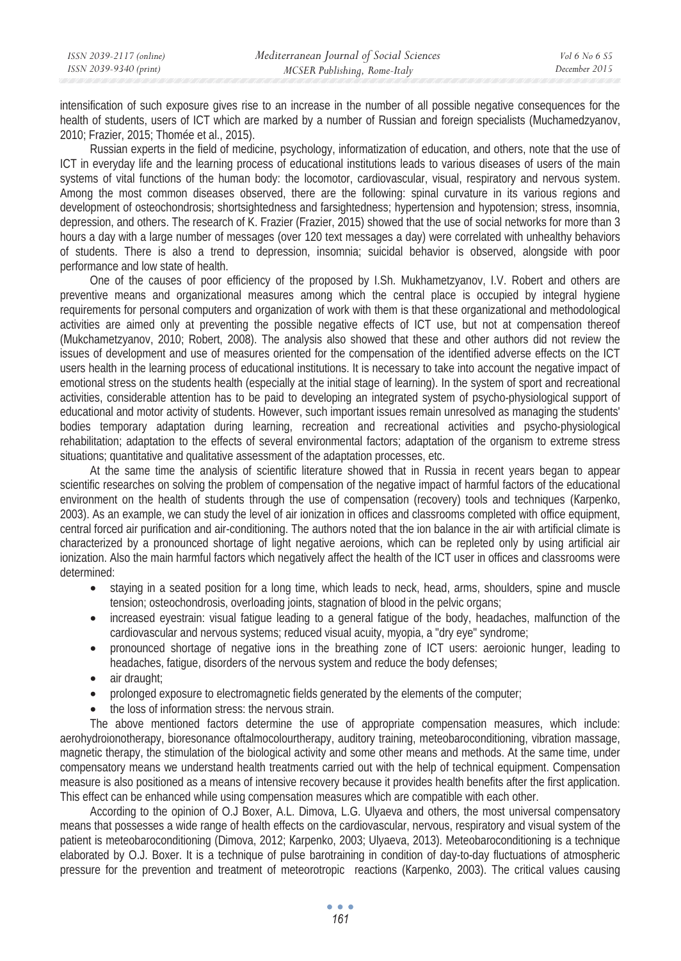intensification of such exposure gives rise to an increase in the number of all possible negative consequences for the health of students, users of ICT which are marked by a number of Russian and foreign specialists (Muchamedzyanov, 2010; Frazier, 2015; Thomée et al., 2015).

Russian experts in the field of medicine, psychology, informatization of education, and others, note that the use of ICT in everyday life and the learning process of educational institutions leads to various diseases of users of the main systems of vital functions of the human body: the locomotor, cardiovascular, visual, respiratory and nervous system. Among the most common diseases observed, there are the following: spinal curvature in its various regions and development of osteochondrosis; shortsightedness and farsightedness; hypertension and hypotension; stress, insomnia, depression, and others. The research of K. Frazier (Frazier, 2015) showed that the use of social networks for more than 3 hours a day with a large number of messages (over 120 text messages a day) were correlated with unhealthy behaviors of students. There is also a trend to depression, insomnia; suicidal behavior is observed, alongside with poor performance and low state of health.

One of the causes of poor efficiency of the proposed by I.Sh. Mukhametzyanov, I.V. Robert and others are preventive means and organizational measures among which the central place is occupied by integral hygiene requirements for personal computers and organization of work with them is that these organizational and methodological activities are aimed only at preventing the possible negative effects of ICT use, but not at compensation thereof (Mukchametzyanov, 2010; Robert, 2008). The analysis also showed that these and other authors did not review the issues of development and use of measures oriented for the compensation of the identified adverse effects on the ICT users health in the learning process of educational institutions. It is necessary to take into account the negative impact of emotional stress on the students health (especially at the initial stage of learning). In the system of sport and recreational activities, considerable attention has to be paid to developing an integrated system of psycho-physiological support of educational and motor activity of students. However, such important issues remain unresolved as managing the students' bodies temporary adaptation during learning, recreation and recreational activities and psycho-physiological rehabilitation; adaptation to the effects of several environmental factors; adaptation of the organism to extreme stress situations; quantitative and qualitative assessment of the adaptation processes, etc.

At the same time the analysis of scientific literature showed that in Russia in recent years began to appear scientific researches on solving the problem of compensation of the negative impact of harmful factors of the educational environment on the health of students through the use of compensation (recovery) tools and techniques (Karpenko, 2003). As an example, we can study the level of air ionization in offices and classrooms completed with office equipment, central forced air purification and air-conditioning. The authors noted that the ion balance in the air with artificial climate is characterized by a pronounced shortage of light negative aeroions, which can be repleted only by using artificial air ionization. Also the main harmful factors which negatively affect the health of the ICT user in offices and classrooms were determined:

- staying in a seated position for a long time, which leads to neck, head, arms, shoulders, spine and muscle tension; osteochondrosis, overloading joints, stagnation of blood in the pelvic organs;
- increased eyestrain: visual fatigue leading to a general fatigue of the body, headaches, malfunction of the cardiovascular and nervous systems; reduced visual acuity, myopia, a "dry eye" syndrome;
- pronounced shortage of negative ions in the breathing zone of ICT users: aeroionic hunger, leading to headaches, fatigue, disorders of the nervous system and reduce the body defenses;
- air draught:
- prolonged exposure to electromagnetic fields generated by the elements of the computer;
- the loss of information stress: the nervous strain.

The above mentioned factors determine the use of appropriate compensation measures, which include: aerohydroionotherapy, bioresonance oftalmocolourtherapy, auditory training, meteobaroconditioning, vibration massage, magnetic therapy, the stimulation of the biological activity and some other means and methods. At the same time, under compensatory means we understand health treatments carried out with the help of technical equipment. Compensation measure is also positioned as a means of intensive recovery because it provides health benefits after the first application. This effect can be enhanced while using compensation measures which are compatible with each other.

According to the opinion of O.J Boxer, A.L. Dimova, L.G. Ulyaeva and others, the most universal compensatory means that possesses a wide range of health effects on the cardiovascular, nervous, respiratory and visual system of the patient is meteobaroconditioning (Dimova, 2012; Karpenko, 2003; Ulyaeva, 2013). Meteobaroconditioning is a technique elaborated by O.J. Boxer. It is a technique of pulse barotraining in condition of day-to-day fluctuations of atmospheric pressure for the prevention and treatment of meteorotropic reactions (Karpenko, 2003). The critical values causing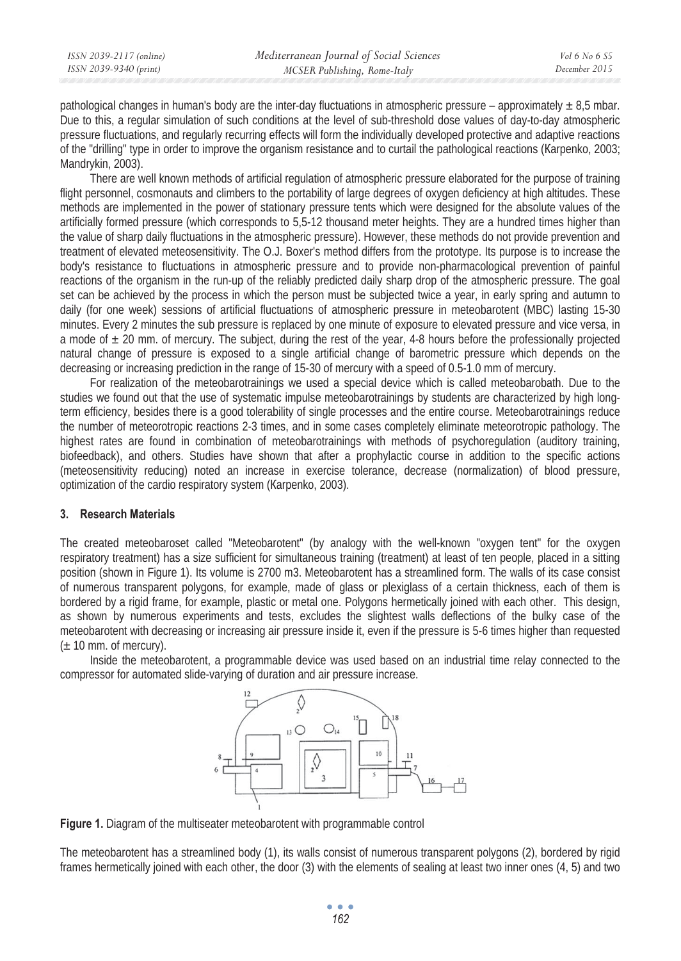pathological changes in human's body are the inter-day fluctuations in atmospheric pressure – approximately  $\pm 8.5$  mbar. Due to this, a regular simulation of such conditions at the level of sub-threshold dose values of day-to-day atmospheric pressure fluctuations, and regularly recurring effects will form the individually developed protective and adaptive reactions of the "drilling" type in order to improve the organism resistance and to curtail the pathological reactions (Karpenko, 2003; Mandrykin, 2003).

There are well known methods of artificial regulation of atmospheric pressure elaborated for the purpose of training flight personnel, cosmonauts and climbers to the portability of large degrees of oxygen deficiency at high altitudes. These methods are implemented in the power of stationary pressure tents which were designed for the absolute values of the artificially formed pressure (which corresponds to 5,5-12 thousand meter heights. They are a hundred times higher than the value of sharp daily fluctuations in the atmospheric pressure). However, these methods do not provide prevention and treatment of elevated meteosensitivity. The O.J. Boxer's method differs from the prototype. Its purpose is to increase the body's resistance to fluctuations in atmospheric pressure and to provide non-pharmacological prevention of painful reactions of the organism in the run-up of the reliably predicted daily sharp drop of the atmospheric pressure. The goal set can be achieved by the process in which the person must be subjected twice a year, in early spring and autumn to daily (for one week) sessions of artificial fluctuations of atmospheric pressure in meteobarotent (MBC) lasting 15-30 minutes. Every 2 minutes the sub pressure is replaced by one minute of exposure to elevated pressure and vice versa, in a mode of  $\pm$  20 mm. of mercury. The subject, during the rest of the year, 4-8 hours before the professionally projected natural change of pressure is exposed to a single artificial change of barometric pressure which depends on the decreasing or increasing prediction in the range of 15-30 of mercury with a speed of 0.5-1.0 mm of mercury.

For realization of the meteobarotrainings we used a special device which is called meteobarobath. Due to the studies we found out that the use of systematic impulse meteobarotrainings by students are characterized by high longterm efficiency, besides there is a good tolerability of single processes and the entire course. Meteobarotrainings reduce the number of meteorotropic reactions 2-3 times, and in some cases completely eliminate meteorotropic pathology. The highest rates are found in combination of meteobarotrainings with methods of psychoregulation (auditory training, biofeedback), and others. Studies have shown that after a prophylactic course in addition to the specific actions (meteosensitivity reducing) noted an increase in exercise tolerance, decrease (normalization) of blood pressure, optimization of the cardio respiratory system (Karpenko, 2003).

#### **3. Research Materials**

The created meteobaroset called "Meteobarotent" (by analogy with the well-known "oxygen tent" for the oxygen respiratory treatment) has a size sufficient for simultaneous training (treatment) at least of ten people, placed in a sitting position (shown in Figure 1). Its volume is 2700 m3. Meteobarotent has a streamlined form. The walls of its case consist of numerous transparent polygons, for example, made of glass or plexiglass of a certain thickness, each of them is bordered by a rigid frame, for example, plastic or metal one. Polygons hermetically joined with each other. This design, as shown by numerous experiments and tests, excludes the slightest walls deflections of the bulky case of the meteobarotent with decreasing or increasing air pressure inside it, even if the pressure is 5-6 times higher than requested  $(\pm 10 \text{ mm. of mercury})$ .

Inside the meteobarotent, a programmable device was used based on an industrial time relay connected to the compressor for automated slide-varying of duration and air pressure increase.



**Figure 1.** Diagram of the multiseater meteobarotent with programmable control

The meteobarotent has a streamlined body (1), its walls consist of numerous transparent polygons (2), bordered by rigid frames hermetically joined with each other, the door (3) with the elements of sealing at least two inner ones (4, 5) and two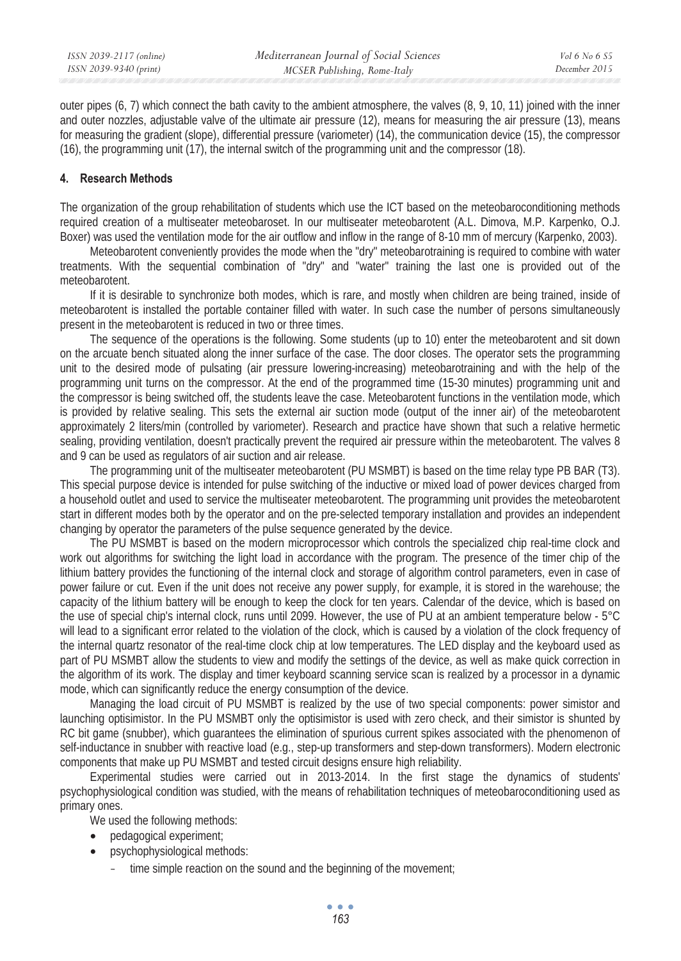outer pipes (6, 7) which connect the bath cavity to the ambient atmosphere, the valves (8, 9, 10, 11) joined with the inner and outer nozzles, adjustable valve of the ultimate air pressure (12), means for measuring the air pressure (13), means for measuring the gradient (slope), differential pressure (variometer) (14), the communication device (15), the compressor (16), the programming unit (17), the internal switch of the programming unit and the compressor (18).

## **4. Research Methods**

The organization of the group rehabilitation of students which use the ICT based on the meteobaroconditioning methods required creation of a multiseater meteobaroset. In our multiseater meteobarotent (A.L. Dimova, M.P. Karpenko, O.J. Boxer) was used the ventilation mode for the air outflow and inflow in the range of 8-10 mm of mercury (Karpenko, 2003).

Meteobarotent conveniently provides the mode when the "dry" meteobarotraining is required to combine with water treatments. With the sequential combination of "dry" and "water" training the last one is provided out of the meteobarotent.

If it is desirable to synchronize both modes, which is rare, and mostly when children are being trained, inside of meteobarotent is installed the portable container filled with water. In such case the number of persons simultaneously present in the meteobarotent is reduced in two or three times.

The sequence of the operations is the following. Some students (up to 10) enter the meteobarotent and sit down on the arcuate bench situated along the inner surface of the case. The door closes. The operator sets the programming unit to the desired mode of pulsating (air pressure lowering-increasing) meteobarotraining and with the help of the programming unit turns on the compressor. At the end of the programmed time (15-30 minutes) programming unit and the compressor is being switched off, the students leave the case. Meteobarotent functions in the ventilation mode, which is provided by relative sealing. This sets the external air suction mode (output of the inner air) of the meteobarotent approximately 2 liters/min (controlled by variometer). Research and practice have shown that such a relative hermetic sealing, providing ventilation, doesn't practically prevent the required air pressure within the meteobarotent. The valves 8 and 9 can be used as regulators of air suction and air release.

The programming unit of the multiseater meteobarotent (PU MSMBT) is based on the time relay type PB BAR (T3). This special purpose device is intended for pulse switching of the inductive or mixed load of power devices charged from a household outlet and used to service the multiseater meteobarotent. The programming unit provides the meteobarotent start in different modes both by the operator and on the pre-selected temporary installation and provides an independent changing by operator the parameters of the pulse sequence generated by the device.

The PU MSMBT is based on the modern microprocessor which controls the specialized chip real-time clock and work out algorithms for switching the light load in accordance with the program. The presence of the timer chip of the lithium battery provides the functioning of the internal clock and storage of algorithm control parameters, even in case of power failure or cut. Even if the unit does not receive any power supply, for example, it is stored in the warehouse; the capacity of the lithium battery will be enough to keep the clock for ten years. Calendar of the device, which is based on the use of special chip's internal clock, runs until 2099. However, the use of PU at an ambient temperature below - 5°C will lead to a significant error related to the violation of the clock, which is caused by a violation of the clock frequency of the internal quartz resonator of the real-time clock chip at low temperatures. The LED display and the keyboard used as part of PU MSMBT allow the students to view and modify the settings of the device, as well as make quick correction in the algorithm of its work. The display and timer keyboard scanning service scan is realized by a processor in a dynamic mode, which can significantly reduce the energy consumption of the device.

Managing the load circuit of PU MSMBT is realized by the use of two special components: power simistor and launching optisimistor. In the PU MSMBT only the optisimistor is used with zero check, and their simistor is shunted by RC bit game (snubber), which guarantees the elimination of spurious current spikes associated with the phenomenon of self-inductance in snubber with reactive load (e.g., step-up transformers and step-down transformers). Modern electronic components that make up PU MSMBT and tested circuit designs ensure high reliability.

Experimental studies were carried out in 2013-2014. In the first stage the dynamics of students' psychophysiological condition was studied, with the means of rehabilitation techniques of meteobaroconditioning used as primary ones.

We used the following methods:

- pedagogical experiment:
- psychophysiological methods:
	- time simple reaction on the sound and the beginning of the movement;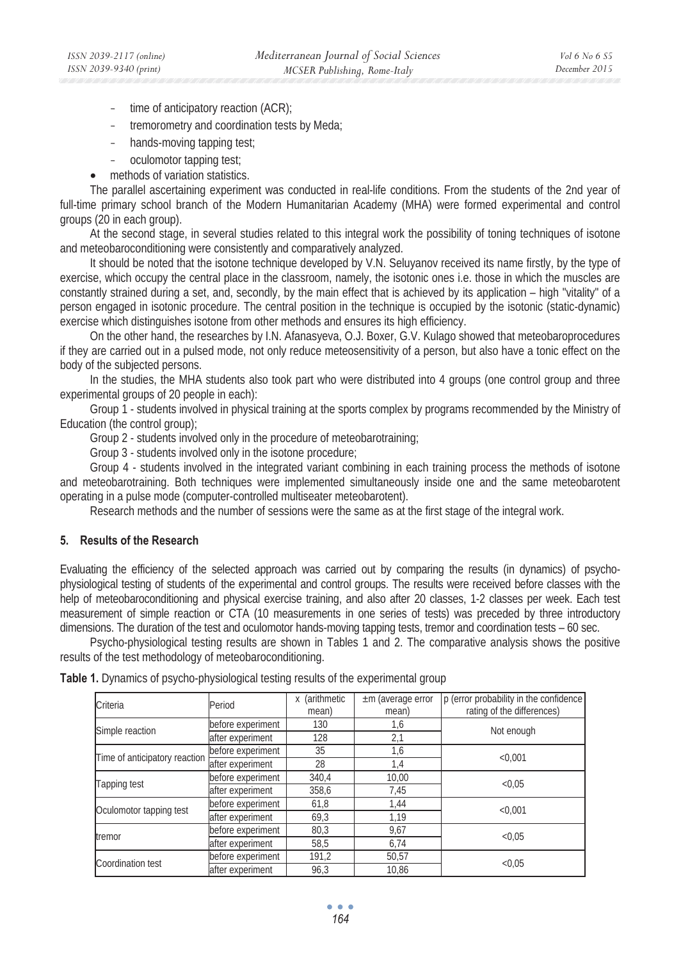- time of anticipatory reaction (ACR);
- tremorometry and coordination tests by Meda;
- hands-moving tapping test;
- oculomotor tapping test;
- methods of variation statistics.

The parallel ascertaining experiment was conducted in real-life conditions. From the students of the 2nd year of full-time primary school branch of the Modern Humanitarian Academy (MHA) were formed experimental and control groups (20 in each group).

At the second stage, in several studies related to this integral work the possibility of toning techniques of isotone and meteobaroconditioning were consistently and comparatively analyzed.

It should be noted that the isotone technique developed by V.N. Seluyanov received its name firstly, by the type of exercise, which occupy the central place in the classroom, namely, the isotonic ones i.e. those in which the muscles are constantly strained during a set, and, secondly, by the main effect that is achieved by its application – high "vitality" of a person engaged in isotonic procedure. The central position in the technique is occupied by the isotonic (static-dynamic) exercise which distinguishes isotone from other methods and ensures its high efficiency.

On the other hand, the researches by I.N. Afanasyeva, O.J. Boxer, G.V. Kulago showed that meteobaroprocedures if they are carried out in a pulsed mode, not only reduce meteosensitivity of a person, but also have a tonic effect on the body of the subjected persons.

In the studies, the MHA students also took part who were distributed into 4 groups (one control group and three experimental groups of 20 people in each):

Group 1 - students involved in physical training at the sports complex by programs recommended by the Ministry of Education (the control group);

Group 2 - students involved only in the procedure of meteobarotraining;

Group 3 - students involved only in the isotone procedure;

Group 4 - students involved in the integrated variant combining in each training process the methods of isotone and meteobarotraining. Both techniques were implemented simultaneously inside one and the same meteobarotent operating in a pulse mode (computer-controlled multiseater meteobarotent).

Research methods and the number of sessions were the same as at the first stage of the integral work.

## **5. Results of the Research**

Evaluating the efficiency of the selected approach was carried out by comparing the results (in dynamics) of psychophysiological testing of students of the experimental and control groups. The results were received before classes with the help of meteobaroconditioning and physical exercise training, and also after 20 classes, 1-2 classes per week. Each test measurement of simple reaction or CTA (10 measurements in one series of tests) was preceded by three introductory dimensions. The duration of the test and oculomotor hands-moving tapping tests, tremor and coordination tests – 60 sec.

Psycho-physiological testing results are shown in Tables 1 and 2. The comparative analysis shows the positive results of the test methodology of meteobaroconditioning.

| Criteria                      | Period            | (arithmetic<br>X<br>mean) | $\pm$ m (average error<br>mean) | p (error probability in the confidence<br>rating of the differences) |
|-------------------------------|-------------------|---------------------------|---------------------------------|----------------------------------------------------------------------|
| Simple reaction               | before experiment | 130                       | 1,6                             |                                                                      |
|                               | after experiment  | 128                       | 2,1                             | Not enough                                                           |
| Time of anticipatory reaction | before experiment | 35                        | 1,6                             | < 0.001                                                              |
|                               | after experiment  | 28                        | 1,4                             |                                                                      |
| Tapping test                  | before experiment | 340.4                     | 10,00                           |                                                                      |
|                               | after experiment  | 358,6                     | 7,45                            | < 0.05                                                               |
| Oculomotor tapping test       | before experiment | 61,8                      | 1,44                            |                                                                      |
|                               | after experiment  | 69,3                      | 1,19                            | < 0.001                                                              |
| tremor                        | before experiment | 80,3                      | 9,67                            |                                                                      |
|                               | after experiment  | 58,5                      | 6,74                            | < 0.05                                                               |
| Coordination test             | before experiment | 191,2                     | 50,57                           |                                                                      |
|                               | after experiment  | 96,3                      | 10,86                           | < 0.05                                                               |

**Table 1.** Dynamics of psycho-physiological testing results of the experimental group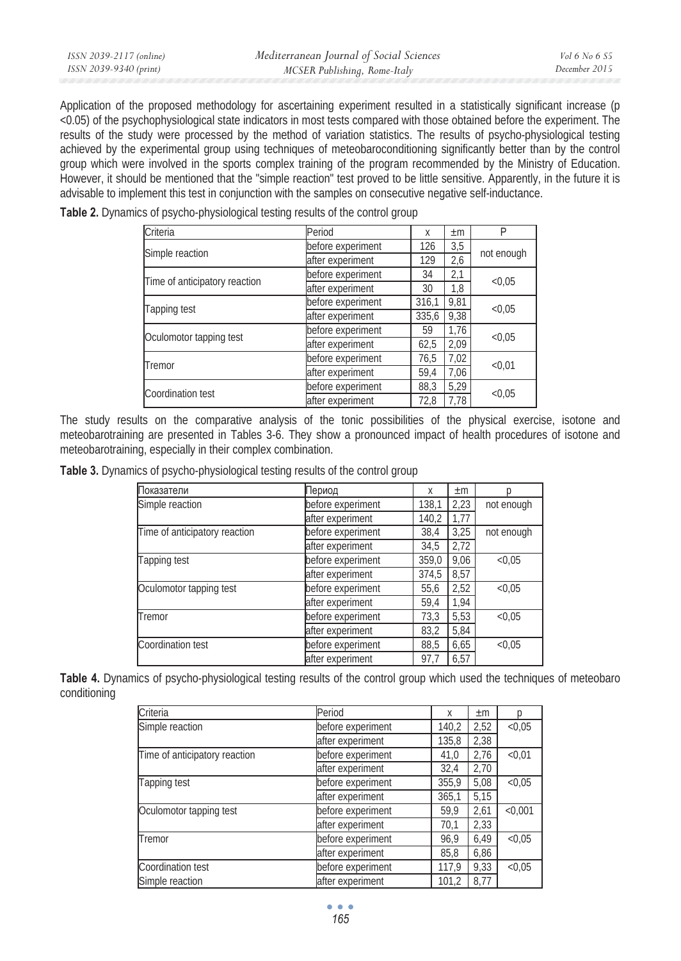Application of the proposed methodology for ascertaining experiment resulted in a statistically significant increase (p <0.05) of the psychophysiological state indicators in most tests compared with those obtained before the experiment. The results of the study were processed by the method of variation statistics. The results of psycho-physiological testing achieved by the experimental group using techniques of meteobaroconditioning significantly better than by the control group which were involved in the sports complex training of the program recommended by the Ministry of Education. However, it should be mentioned that the "simple reaction" test proved to be little sensitive. Apparently, in the future it is advisable to implement this test in conjunction with the samples on consecutive negative self-inductance.

| Criteria                      | Period            | X     | $\pm m$ | P          |  |
|-------------------------------|-------------------|-------|---------|------------|--|
|                               | before experiment | 126   | 3,5     | not enough |  |
| Simple reaction               | after experiment  | 129   | 2,6     |            |  |
| Time of anticipatory reaction | before experiment | 34    | 2,1     | < 0.05     |  |
|                               | after experiment  | 30    | 1,8     |            |  |
| Tapping test                  | before experiment | 316,1 | 9,81    | < 0.05     |  |
|                               | after experiment  | 335.6 | 9,38    |            |  |
|                               | before experiment | 59    | 1,76    | < 0.05     |  |
| Oculomotor tapping test       | after experiment  | 62,5  | 2,09    |            |  |
| Tremor                        | before experiment | 76,5  | 7,02    |            |  |
|                               | after experiment  | 59.4  | 7,06    | < 0.01     |  |
| Coordination test             | before experiment | 88,3  | 5,29    |            |  |
|                               | after experiment  | 72.8  | 7.78    | < 0.05     |  |

**Table 2.** Dynamics of psycho-physiological testing results of the control group

The study results on the comparative analysis of the tonic possibilities of the physical exercise, isotone and meteobarotraining are presented in Tables 3-6. They show a pronounced impact of health procedures of isotone and meteobarotraining, especially in their complex combination.

**Table 3.** Dynamics of psycho-physiological testing results of the control group

| Показатели                    | Териод            | X     | $\pm m$ |            |
|-------------------------------|-------------------|-------|---------|------------|
| Simple reaction               | before experiment | 138,1 | 2,23    | not enough |
|                               | after experiment  | 140,2 | 1.77    |            |
| Time of anticipatory reaction | before experiment | 38,4  | 3,25    | not enough |
|                               | after experiment  | 34,5  | 2,72    |            |
| Tapping test                  | before experiment | 359.0 | 9,06    | < 0.05     |
|                               | after experiment  | 374,5 | 8,57    |            |
| Oculomotor tapping test       | before experiment | 55,6  | 2,52    | < 0.05     |
|                               | after experiment  | 59.4  | 1.94    |            |
| Tremor                        | before experiment | 73,3  | 5,53    | < 0.05     |
|                               | after experiment  | 83,2  | 5,84    |            |
| Coordination test             | before experiment | 88,5  | 6,65    | < 0.05     |
|                               | after experiment  | 97.7  | 6,57    |            |

**Table 4.** Dynamics of psycho-physiological testing results of the control group which used the techniques of meteobaro conditioning

| Criteria                      | Period            | X     | $\pm m$ |         |
|-------------------------------|-------------------|-------|---------|---------|
| Simple reaction               | before experiment | 140,2 | 2,52    | < 0.05  |
|                               | after experiment  | 135,8 | 2,38    |         |
| Time of anticipatory reaction | before experiment | 41,0  | 2,76    | < 0.01  |
|                               | after experiment  | 32.4  | 2,70    |         |
| Tapping test                  | before experiment | 355,9 | 5,08    | < 0.05  |
|                               | after experiment  | 365,1 | 5,15    |         |
| Oculomotor tapping test       | before experiment | 59,9  | 2,61    | < 0.001 |
|                               | after experiment  | 70,1  | 2,33    |         |
| Tremor                        | before experiment | 96,9  | 6,49    | < 0.05  |
|                               | after experiment  | 85,8  | 6,86    |         |
| Coordination test             | before experiment | 117,9 | 9,33    | < 0.05  |
| Simple reaction               | after experiment  | 101,2 | 8.77    |         |

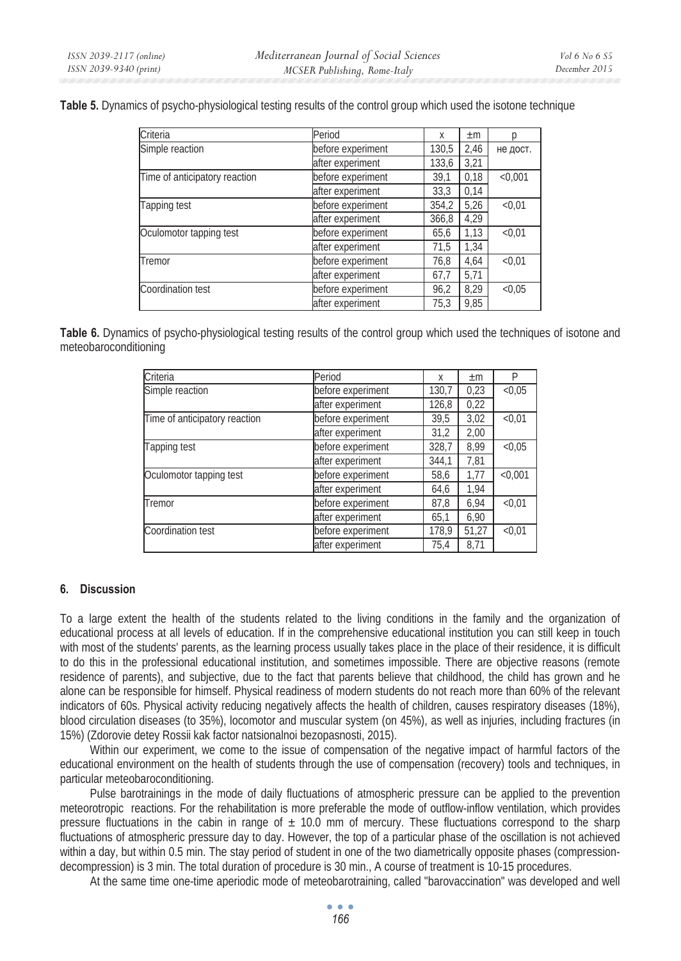**Table 5.** Dynamics of psycho-physiological testing results of the control group which used the isotone technique

| Criteria                      | Period            | X     | $\pm m$ |          |
|-------------------------------|-------------------|-------|---------|----------|
| Simple reaction               | before experiment | 130,5 | 2,46    | не дост. |
|                               | after experiment  | 133,6 | 3,21    |          |
| Time of anticipatory reaction | before experiment | 39,1  | 0,18    | < 0.001  |
|                               | after experiment  | 33,3  | 0,14    |          |
| Tapping test                  | before experiment | 354,2 | 5,26    | < 0.01   |
|                               | after experiment  | 366,8 | 4,29    |          |
| Oculomotor tapping test       | before experiment | 65,6  | 1,13    | < 0.01   |
|                               | after experiment  | 71,5  | 1,34    |          |
| Tremor                        | before experiment | 76,8  | 4,64    | < 0.01   |
|                               | after experiment  | 67,7  | 5,71    |          |
| Coordination test             | before experiment | 96,2  | 8,29    | < 0.05   |
|                               | after experiment  | 75,3  | 9,85    |          |

**Table 6.** Dynamics of psycho-physiological testing results of the control group which used the techniques of isotone and meteobaroconditioning

| Criteria                      | Period            | X     | $\pm m$ | P       |
|-------------------------------|-------------------|-------|---------|---------|
| Simple reaction               | before experiment | 130,7 | 0,23    | < 0.05  |
|                               | after experiment  | 126,8 | 0,22    |         |
| Time of anticipatory reaction | before experiment | 39,5  | 3,02    | < 0.01  |
|                               | after experiment  | 31,2  | 2,00    |         |
| Tapping test                  | before experiment | 328,7 | 8.99    | < 0.05  |
|                               | after experiment  | 344,1 | 7,81    |         |
| Oculomotor tapping test       | before experiment | 58,6  | 1,77    | < 0.001 |
|                               | after experiment  | 64,6  | 1,94    |         |
| Tremor                        | before experiment | 87,8  | 6,94    | < 0.01  |
|                               | after experiment  | 65,1  | 6,90    |         |
| Coordination test             | before experiment | 178,9 | 51,27   | < 0.01  |
|                               | after experiment  | 75,4  | 8.71    |         |

#### **6. Discussion**

To a large extent the health of the students related to the living conditions in the family and the organization of educational process at all levels of education. If in the comprehensive educational institution you can still keep in touch with most of the students' parents, as the learning process usually takes place in the place of their residence, it is difficult to do this in the professional educational institution, and sometimes impossible. There are objective reasons (remote residence of parents), and subjective, due to the fact that parents believe that childhood, the child has grown and he alone can be responsible for himself. Physical readiness of modern students do not reach more than 60% of the relevant indicators of 60s. Physical activity reducing negatively affects the health of children, causes respiratory diseases (18%), blood circulation diseases (to 35%), locomotor and muscular system (on 45%), as well as injuries, including fractures (in 15%) (Zdorovie detey Rossii kak factor natsionalnoi bezopasnosti, 2015).

Within our experiment, we come to the issue of compensation of the negative impact of harmful factors of the educational environment on the health of students through the use of compensation (recovery) tools and techniques, in particular meteobaroconditioning.

Pulse barotrainings in the mode of daily fluctuations of atmospheric pressure can be applied to the prevention meteorotropic reactions. For the rehabilitation is more preferable the mode of outflow-inflow ventilation, which provides pressure fluctuations in the cabin in range of  $\pm$  10.0 mm of mercury. These fluctuations correspond to the sharp fluctuations of atmospheric pressure day to day. However, the top of a particular phase of the oscillation is not achieved within a day, but within 0.5 min. The stay period of student in one of the two diametrically opposite phases (compressiondecompression) is 3 min. The total duration of procedure is 30 min., A course of treatment is 10-15 procedures.

At the same time one-time aperiodic mode of meteobarotraining, called "barovaccination" was developed and well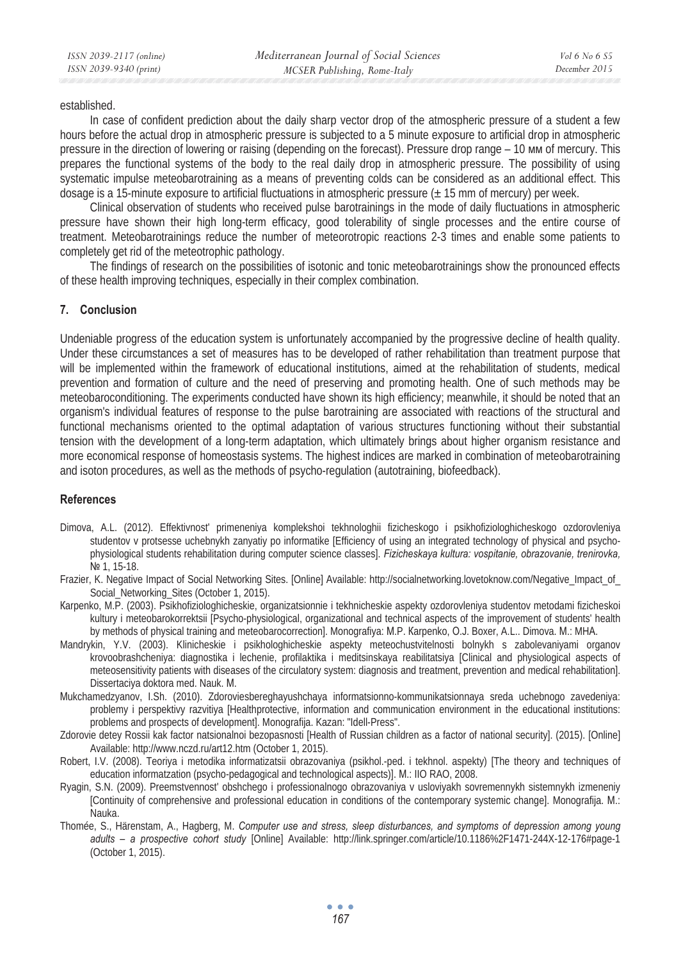established.

In case of confident prediction about the daily sharp vector drop of the atmospheric pressure of a student a few hours before the actual drop in atmospheric pressure is subjected to a 5 minute exposure to artificial drop in atmospheric pressure in the direction of lowering or raising (depending on the forecast). Pressure drop range – 10 MM of mercury. This prepares the functional systems of the body to the real daily drop in atmospheric pressure. The possibility of using systematic impulse meteobarotraining as a means of preventing colds can be considered as an additional effect. This dosage is a 15-minute exposure to artificial fluctuations in atmospheric pressure (± 15 mm of mercury) per week.

Clinical observation of students who received pulse barotrainings in the mode of daily fluctuations in atmospheric pressure have shown their high long-term efficacy, good tolerability of single processes and the entire course of treatment. Meteobarotrainings reduce the number of meteorotropic reactions 2-3 times and enable some patients to completely get rid of the meteotrophic pathology.

The findings of research on the possibilities of isotonic and tonic meteobarotrainings show the pronounced effects of these health improving techniques, especially in their complex combination.

#### **7. Conclusion**

Undeniable progress of the education system is unfortunately accompanied by the progressive decline of health quality. Under these circumstances a set of measures has to be developed of rather rehabilitation than treatment purpose that will be implemented within the framework of educational institutions, aimed at the rehabilitation of students, medical prevention and formation of culture and the need of preserving and promoting health. One of such methods may be meteobaroconditioning. The experiments conducted have shown its high efficiency; meanwhile, it should be noted that an organism's individual features of response to the pulse barotraining are associated with reactions of the structural and functional mechanisms oriented to the optimal adaptation of various structures functioning without their substantial tension with the development of a long-term adaptation, which ultimately brings about higher organism resistance and more economical response of homeostasis systems. The highest indices are marked in combination of meteobarotraining and isoton procedures, as well as the methods of psycho-regulation (autotraining, biofeedback).

#### **References**

- Dimova, A.L. (2012). Effektivnost' primeneniya komplekshoi tekhnologhii fizicheskogo i psikhofiziologhicheskogo ozdorovleniya studentov v protsesse uchebnykh zanyatiy po informatike [Efficiency of using an integrated technology of physical and psychophysiological students rehabilitation during computer science classes]. *Fizicheskaya kultura: vospitanie, obrazovanie, trenirovka,*  No 1, 15-18.
- Frazier, K. Negative Impact of Social Networking Sites. [Online] Available: http://socialnetworking.lovetoknow.com/Negative\_Impact\_of\_ Social\_Networking\_Sites (October 1, 2015).
- Ʉarpenko, M.P. (2003). Psikhofiziologhicheskie, organizatsionnie i tekhnicheskie aspekty ozdorovleniya studentov metodami fizicheskoi kultury i meteobarokorrektsii [Psycho-physiological, organizational and technical aspects of the improvement of students' health by methods of physical training and meteobarocorrection]. Monografiya: M.P. Karpenko, O.J. Boxer, A.L.. Dimova. M.: MHA.
- Mandrykin, Y.V. (2003). Klinicheskie i psikhologhicheskie aspekty meteochustvitelnosti bolnykh s zabolevaniyami organov krovoobrashcheniya: diagnostika i lechenie, profilaktika i meditsinskaya reabilitatsiya [Clinical and physiological aspects of meteosensitivity patients with diseases of the circulatory system: diagnosis and treatment, prevention and medical rehabilitation]. Dissertaciya doktora med. Nauk. M.
- Mukchamedzyanov, I.Sh. (2010). Zdoroviesbereghayushchaya informatsionno-kommunikatsionnaya sreda uchebnogo zavedeniya: problemy i perspektivy razvitiya [Healthprotective, information and communication environment in the educational institutions: problems and prospects of development]. Monografija. Kazan: "Idell-Press".
- Zdorovie detey Rossii kak factor natsionalnoi bezopasnosti [Health of Russian children as a factor of national security]. (2015). [Online] Available: http://www.nczd.ru/art12.htm (October 1, 2015).
- Robert, I.V. (2008). Teoriya i metodika informatizatsii obrazovaniya (psikhol.-ped. i tekhnol. aspekty) [The theory and techniques of education informatzation (psycho-pedagogical and technological aspects)]. Ɇ.: IIO RAO, 2008.
- Ryagin, S.N. (2009). Preemstvennost' obshchego i professionalnogo obrazovaniya v usloviyakh sovremennykh sistemnykh izmeneniy [Continuity of comprehensive and professional education in conditions of the contemporary systemic change]. Monografija. M.: Nauka.
- Thomée, S., Härenstam, A., Hagberg, M. *Computer use and stress, sleep disturbances, and symptoms of depression among young adults – a prospective cohort study* [Online] Available: http://link.springer.com/article/10.1186%2F1471-244X-12-176#page-1 (October 1, 2015).